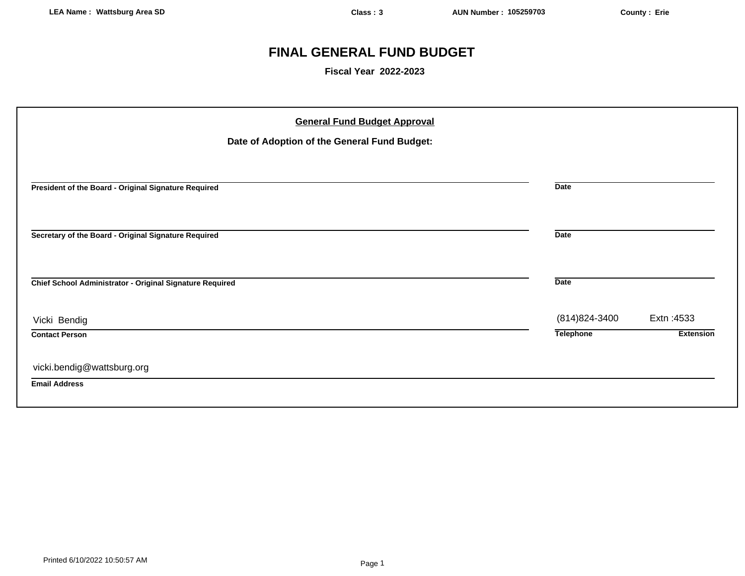# **FINAL GENERAL FUND BUDGET**

**Fiscal Year 2022-2023**

| <b>General Fund Budget Approval</b><br>Date of Adoption of the General Fund Budget: |                  |                  |
|-------------------------------------------------------------------------------------|------------------|------------------|
| President of the Board - Original Signature Required                                | <b>Date</b>      |                  |
| Secretary of the Board - Original Signature Required                                | <b>Date</b>      |                  |
| Chief School Administrator - Original Signature Required                            | <b>Date</b>      |                  |
| Vicki Bendig                                                                        | (814) 824-3400   | Extn: 4533       |
| <b>Contact Person</b>                                                               | <b>Telephone</b> | <b>Extension</b> |
| vicki.bendig@wattsburg.org                                                          |                  |                  |
| <b>Email Address</b>                                                                |                  |                  |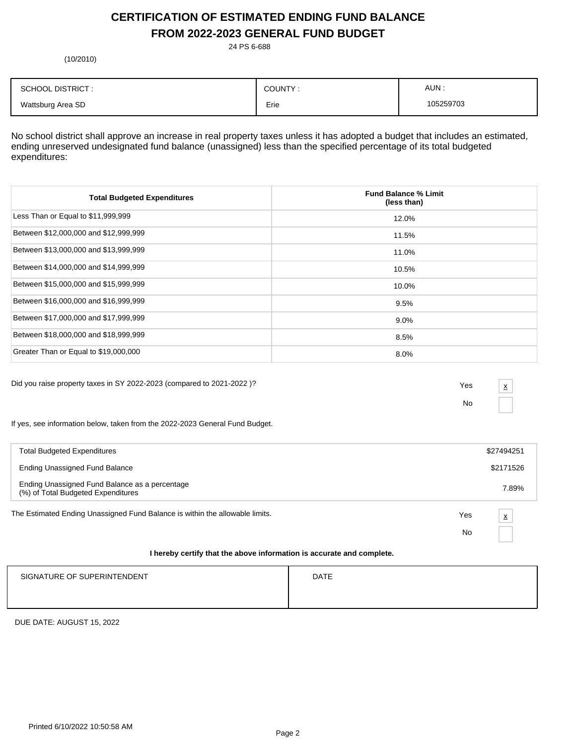# **CERTIFICATION OF ESTIMATED ENDING FUND BALANCE FROM 2022-2023 GENERAL FUND BUDGET**

24 PS 6-688

(10/2010)

| <b>SCHOOL DISTRICT:</b> | COUNTY: | AUN:      |
|-------------------------|---------|-----------|
| Wattsburg Area SD       | Erie    | 105259703 |

No school district shall approve an increase in real property taxes unless it has adopted a budget that includes an estimated, ending unreserved undesignated fund balance (unassigned) less than the specified percentage of its total budgeted expenditures:

| <b>Total Budgeted Expenditures</b>    | <b>Fund Balance % Limit</b><br>(less than) |
|---------------------------------------|--------------------------------------------|
| Less Than or Equal to \$11,999,999    | 12.0%                                      |
| Between \$12,000,000 and \$12,999,999 | 11.5%                                      |
| Between \$13,000,000 and \$13,999,999 | 11.0%                                      |
| Between \$14,000,000 and \$14,999,999 | 10.5%                                      |
| Between \$15,000,000 and \$15,999,999 | 10.0%                                      |
| Between \$16,000,000 and \$16,999,999 | 9.5%                                       |
| Between \$17,000,000 and \$17,999,999 | $9.0\%$                                    |
| Between \$18,000,000 and \$18,999,999 | 8.5%                                       |
| Greater Than or Equal to \$19,000,000 | 8.0%                                       |

Did you raise property taxes in SY 2022-2023 (compared to 2021-2022 )? Yes

No

x

If yes, see information below, taken from the 2022-2023 General Fund Budget.

| <b>Total Budgeted Expenditures</b>                                                                                                                                                                                            |     | \$27494251 |
|-------------------------------------------------------------------------------------------------------------------------------------------------------------------------------------------------------------------------------|-----|------------|
| Ending Unassigned Fund Balance                                                                                                                                                                                                |     | \$2171526  |
| Ending Unassigned Fund Balance as a percentage<br>(%) of Total Budgeted Expenditures                                                                                                                                          |     | 7.89%      |
| The Estimated Ending Unassigned Fund Balance is within the allowable limits.                                                                                                                                                  | Yes | X          |
|                                                                                                                                                                                                                               | No  |            |
| . The contract of the contract of the contract of the contract of the contract of the contract of the contract of the contract of the contract of the contract of the contract of the contract of the contract of the contrac |     |            |

### **I hereby certify that the above information is accurate and complete.**

| SIGNATURE OF SUPERINTENDENT | <b>DATE</b> |
|-----------------------------|-------------|
|                             |             |
|                             |             |

DUE DATE: AUGUST 15, 2022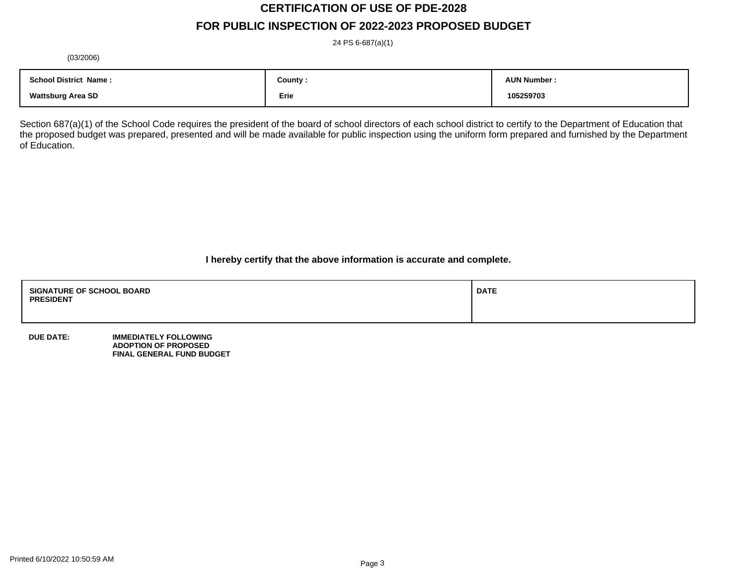# **CERTIFICATION OF USE OF PDE-2028**

# **FOR PUBLIC INSPECTION OF 2022-2023 PROPOSED BUDGET**

24 PS 6-687(a)(1)

(03/2006)

| <b>School District Name:</b> | County : | <b>AUN Number</b> |
|------------------------------|----------|-------------------|
| <b>Wattsburg Area SD</b>     | Erie     | 105259703         |

Section 687(a)(1) of the School Code requires the president of the board of school directors of each school district to certify to the Department of Education that the proposed budget was prepared, presented and will be made available for public inspection using the uniform form prepared and furnished by the Department of Education.

**I hereby certify that the above information is accurate and complete.**

| <b>SIGNATURE OF SCHOOL BOARD</b><br><b>PRESIDENT</b> | <b>DATE</b> |
|------------------------------------------------------|-------------|
|                                                      |             |

**DUE DATE: IMMEDIATELY FOLLOWING ADOPTION OF PROPOSED FINAL GENERAL FUND BUDGET**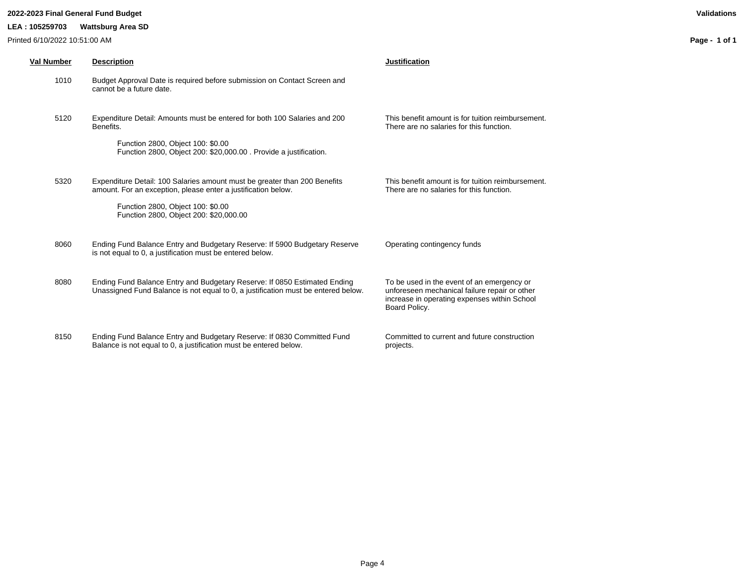### **2022-2023 Final General Fund Budget Validations**

### **LEA : 105259703 Wattsburg Area SD**

Printed 6/10/2022 10:51:00 AM

| <b>Val Number</b> | <b>Description</b>                                                                                                                                                                                                        | <b>Justification</b>                                                                                                                                         |
|-------------------|---------------------------------------------------------------------------------------------------------------------------------------------------------------------------------------------------------------------------|--------------------------------------------------------------------------------------------------------------------------------------------------------------|
| 1010              | Budget Approval Date is required before submission on Contact Screen and<br>cannot be a future date.                                                                                                                      |                                                                                                                                                              |
| 5120              | Expenditure Detail: Amounts must be entered for both 100 Salaries and 200<br>Benefits.<br>Function 2800, Object 100: \$0.00<br>Function 2800, Object 200: \$20,000.00. Provide a justification.                           | This benefit amount is for tuition reimbursement.<br>There are no salaries for this function.                                                                |
| 5320              | Expenditure Detail: 100 Salaries amount must be greater than 200 Benefits<br>amount. For an exception, please enter a justification below.<br>Function 2800, Object 100: \$0.00<br>Function 2800, Object 200: \$20,000.00 | This benefit amount is for tuition reimbursement.<br>There are no salaries for this function.                                                                |
| 8060              | Ending Fund Balance Entry and Budgetary Reserve: If 5900 Budgetary Reserve<br>is not equal to 0, a justification must be entered below.                                                                                   | Operating contingency funds                                                                                                                                  |
| 8080              | Ending Fund Balance Entry and Budgetary Reserve: If 0850 Estimated Ending<br>Unassigned Fund Balance is not equal to 0, a justification must be entered below.                                                            | To be used in the event of an emergency or<br>unforeseen mechanical failure repair or other<br>increase in operating expenses within School<br>Board Policy. |

8150 Ending Fund Balance Entry and Budgetary Reserve: If 0830 Committed Fund Balance is not equal to 0, a justification must be entered below.

Committed to current and future construction projects.

**Page - 1 of 1**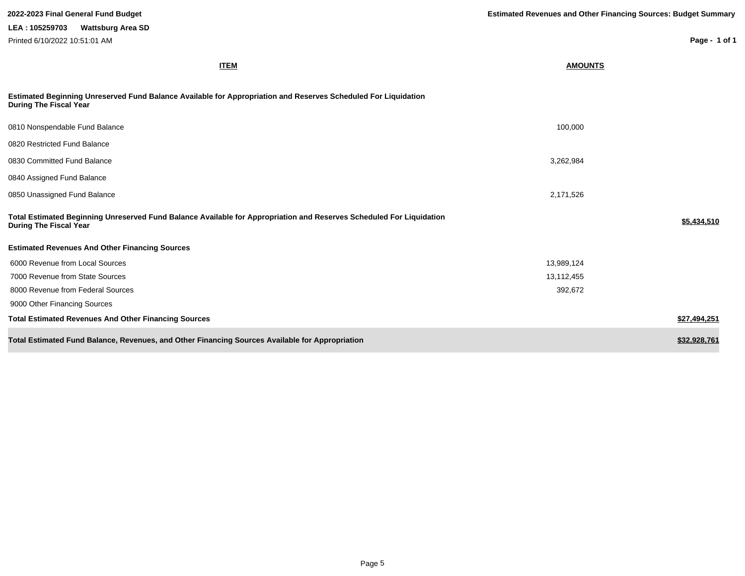| 2022-2023 Final General Fund Budget                                                                                                                   | <b>Estimated Revenues and Other Financing Sources: Budget Summary</b> |               |
|-------------------------------------------------------------------------------------------------------------------------------------------------------|-----------------------------------------------------------------------|---------------|
| LEA: 105259703<br><b>Wattsburg Area SD</b>                                                                                                            |                                                                       |               |
| Printed 6/10/2022 10:51:01 AM                                                                                                                         |                                                                       | Page - 1 of 1 |
| <b>ITEM</b>                                                                                                                                           | <b>AMOUNTS</b>                                                        |               |
| Estimated Beginning Unreserved Fund Balance Available for Appropriation and Reserves Scheduled For Liquidation<br><b>During The Fiscal Year</b>       |                                                                       |               |
| 0810 Nonspendable Fund Balance                                                                                                                        | 100,000                                                               |               |
| 0820 Restricted Fund Balance                                                                                                                          |                                                                       |               |
| 0830 Committed Fund Balance                                                                                                                           | 3,262,984                                                             |               |
| 0840 Assigned Fund Balance                                                                                                                            |                                                                       |               |
| 0850 Unassigned Fund Balance                                                                                                                          | 2,171,526                                                             |               |
| Total Estimated Beginning Unreserved Fund Balance Available for Appropriation and Reserves Scheduled For Liquidation<br><b>During The Fiscal Year</b> |                                                                       | \$5,434,510   |
| <b>Estimated Revenues And Other Financing Sources</b>                                                                                                 |                                                                       |               |
| 6000 Revenue from Local Sources                                                                                                                       | 13,989,124                                                            |               |
| 7000 Revenue from State Sources                                                                                                                       | 13,112,455                                                            |               |
| 8000 Revenue from Federal Sources                                                                                                                     | 392,672                                                               |               |
| 9000 Other Financing Sources                                                                                                                          |                                                                       |               |
| <b>Total Estimated Revenues And Other Financing Sources</b>                                                                                           |                                                                       | \$27,494,251  |
| Total Estimated Fund Balance, Revenues, and Other Financing Sources Available for Appropriation                                                       |                                                                       | \$32,928,761  |

I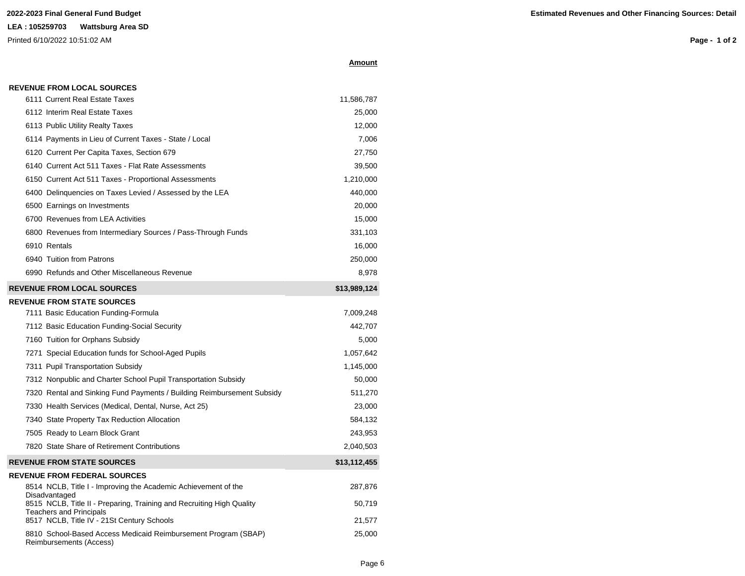## **LEA : 105259703 Wattsburg Area SD**

Printed 6/10/2022 10:51:02 AM

### **Amount**

| <b>REVENUE FROM LOCAL SOURCES</b>                                                      |              |
|----------------------------------------------------------------------------------------|--------------|
| 6111 Current Real Estate Taxes                                                         | 11,586,787   |
| 6112 Interim Real Estate Taxes                                                         | 25,000       |
| 6113 Public Utility Realty Taxes                                                       | 12,000       |
| 6114 Payments in Lieu of Current Taxes - State / Local                                 | 7,006        |
| 6120 Current Per Capita Taxes, Section 679                                             | 27,750       |
| 6140 Current Act 511 Taxes - Flat Rate Assessments                                     | 39,500       |
| 6150 Current Act 511 Taxes - Proportional Assessments                                  | 1,210,000    |
| 6400 Delinquencies on Taxes Levied / Assessed by the LEA                               | 440,000      |
| 6500 Earnings on Investments                                                           | 20,000       |
| 6700 Revenues from LEA Activities                                                      | 15,000       |
| 6800 Revenues from Intermediary Sources / Pass-Through Funds                           | 331,103      |
| 6910 Rentals                                                                           | 16,000       |
| 6940 Tuition from Patrons                                                              | 250,000      |
| 6990 Refunds and Other Miscellaneous Revenue                                           | 8,978        |
| <b>REVENUE FROM LOCAL SOURCES</b>                                                      | \$13,989,124 |
| <b>REVENUE FROM STATE SOURCES</b>                                                      |              |
| 7111 Basic Education Funding-Formula                                                   | 7,009,248    |
| 7112 Basic Education Funding-Social Security                                           | 442,707      |
| 7160 Tuition for Orphans Subsidy                                                       | 5,000        |
| 7271 Special Education funds for School-Aged Pupils                                    | 1,057,642    |
| 7311 Pupil Transportation Subsidy                                                      | 1,145,000    |
| 7312 Nonpublic and Charter School Pupil Transportation Subsidy                         | 50,000       |
| 7320 Rental and Sinking Fund Payments / Building Reimbursement Subsidy                 | 511,270      |
| 7330 Health Services (Medical, Dental, Nurse, Act 25)                                  | 23,000       |
| 7340 State Property Tax Reduction Allocation                                           | 584,132      |
| 7505 Ready to Learn Block Grant                                                        | 243,953      |
| 7820 State Share of Retirement Contributions                                           | 2,040,503    |
| <b>REVENUE FROM STATE SOURCES</b>                                                      | \$13,112,455 |
| <b>REVENUE FROM FEDERAL SOURCES</b>                                                    |              |
| 8514 NCLB, Title I - Improving the Academic Achievement of the                         | 287,876      |
| Disadvantaged<br>8515 NCLB, Title II - Preparing, Training and Recruiting High Quality | 50,719       |
| <b>Teachers and Principals</b><br>8517 NCLB, Title IV - 21St Century Schools           | 21,577       |
| 8810 School-Based Access Medicaid Reimbursement Program (SBAP)                         | 25,000       |
| Reimbursements (Access)                                                                |              |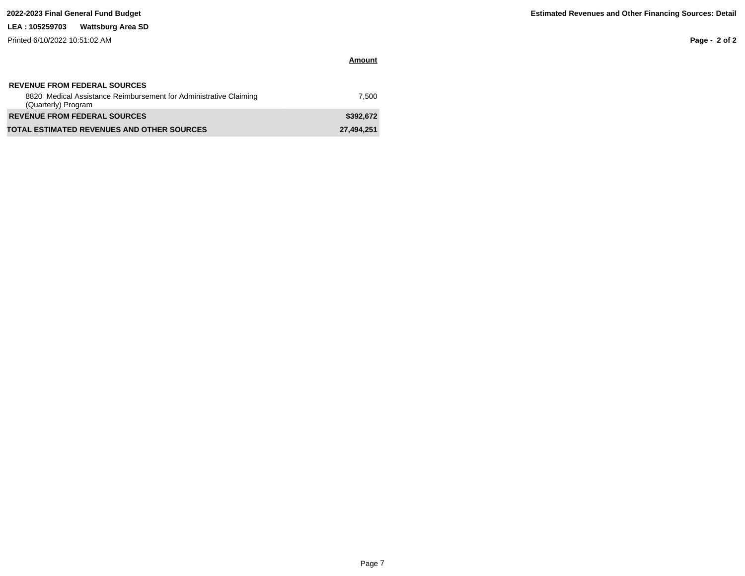### **LEA : 105259703 Wattsburg Area SD**

Printed 6/10/2022 10:51:02 AM

**Page - 2 of 2**

| <b>REVENUE FROM FEDERAL SOURCES</b><br>8820 Medical Assistance Reimbursement for Administrative Claiming<br>(Quarterly) Program | 7.500      |
|---------------------------------------------------------------------------------------------------------------------------------|------------|
| <b>REVENUE FROM FEDERAL SOURCES</b>                                                                                             | \$392.672  |
| <b>TOTAL ESTIMATED REVENUES AND OTHER SOURCES</b>                                                                               | 27.494.251 |

**Amount**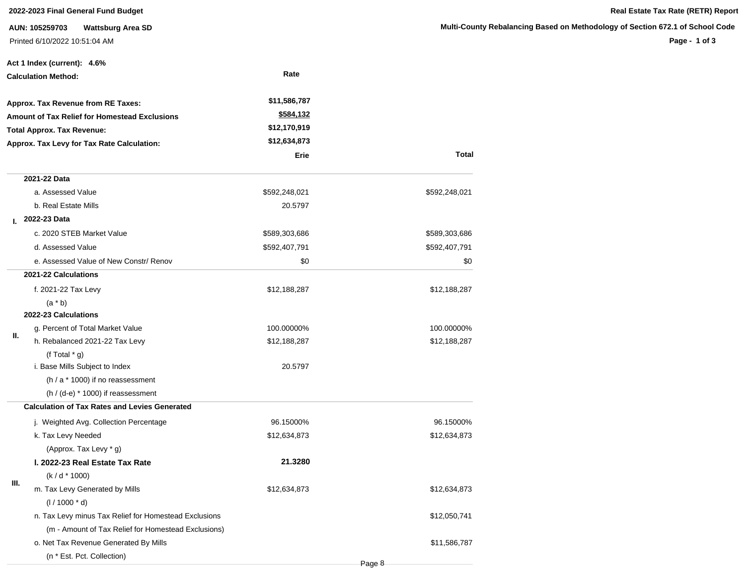# **2022-2023 Final General Fund Budget Real Estate Tax Rate (RETR) Report**

**AUN: 105259703 Wattsburg Area SD** Printed 6/10/2022 10:51:04 AM

**Page - 1 of 3**

|    | Act 1 Index (current): 4.6%                           |                  |               |
|----|-------------------------------------------------------|------------------|---------------|
|    | <b>Calculation Method:</b>                            | Rate             |               |
|    | Approx. Tax Revenue from RE Taxes:                    | \$11,586,787     |               |
|    | Amount of Tax Relief for Homestead Exclusions         | <u>\$584,132</u> |               |
|    | <b>Total Approx. Tax Revenue:</b>                     | \$12,170,919     |               |
|    | Approx. Tax Levy for Tax Rate Calculation:            | \$12,634,873     |               |
|    |                                                       | Erie             | <b>Total</b>  |
|    | 2021-22 Data                                          |                  |               |
|    | a. Assessed Value                                     | \$592,248,021    | \$592,248,021 |
|    | b. Real Estate Mills                                  | 20.5797          |               |
| L. | 2022-23 Data                                          |                  |               |
|    | c. 2020 STEB Market Value                             | \$589,303,686    | \$589,303,686 |
|    | d. Assessed Value                                     | \$592,407,791    | \$592,407,791 |
|    | e. Assessed Value of New Constr/ Renov                | \$0              | \$0           |
|    | 2021-22 Calculations                                  |                  |               |
|    | f. 2021-22 Tax Levy                                   | \$12,188,287     | \$12,188,287  |
|    | $(a * b)$                                             |                  |               |
|    | 2022-23 Calculations                                  |                  |               |
| Ш. | g. Percent of Total Market Value                      | 100.00000%       | 100.00000%    |
|    | h. Rebalanced 2021-22 Tax Levy                        | \$12,188,287     | \$12,188,287  |
|    | (f Total $*$ g)                                       |                  |               |
|    | i. Base Mills Subject to Index                        | 20.5797          |               |
|    | (h / a * 1000) if no reassessment                     |                  |               |
|    | $(h / (d-e) * 1000)$ if reassessment                  |                  |               |
|    | <b>Calculation of Tax Rates and Levies Generated</b>  |                  |               |
|    | j. Weighted Avg. Collection Percentage                | 96.15000%        | 96.15000%     |
|    | k. Tax Levy Needed                                    | \$12,634,873     | \$12,634,873  |
|    | (Approx. Tax Levy * g)                                |                  |               |
|    | I. 2022-23 Real Estate Tax Rate                       | 21.3280          |               |
| Ш. | $(k/d * 1000)$                                        |                  |               |
|    | m. Tax Levy Generated by Mills                        | \$12,634,873     | \$12,634,873  |
|    | $(1/1000 * d)$                                        |                  |               |
|    | n. Tax Levy minus Tax Relief for Homestead Exclusions |                  | \$12,050,741  |
|    | (m - Amount of Tax Relief for Homestead Exclusions)   |                  |               |
|    | o. Net Tax Revenue Generated By Mills                 |                  | \$11,586,787  |
|    | (n * Est. Pct. Collection)                            |                  |               |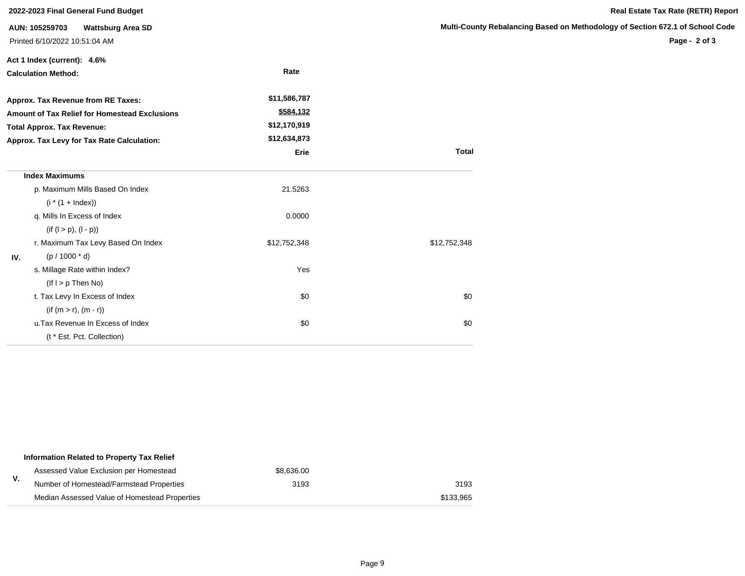| 2022-2023 Final General Fund Budget                                                                                              |                                            |              |                     |  |  |
|----------------------------------------------------------------------------------------------------------------------------------|--------------------------------------------|--------------|---------------------|--|--|
|                                                                                                                                  | AUN: 105259703<br><b>Wattsburg Area SD</b> |              | <b>Multi-County</b> |  |  |
|                                                                                                                                  | Printed 6/10/2022 10:51:04 AM              |              |                     |  |  |
|                                                                                                                                  | Act 1 Index (current): 4.6%                |              |                     |  |  |
| <b>Calculation Method:</b>                                                                                                       |                                            | Rate         |                     |  |  |
|                                                                                                                                  | Approx. Tax Revenue from RE Taxes:         | \$11,586,787 |                     |  |  |
| Amount of Tax Relief for Homestead Exclusions<br><b>Total Approx. Tax Revenue:</b><br>Approx. Tax Levy for Tax Rate Calculation: |                                            | \$584,132    |                     |  |  |
|                                                                                                                                  |                                            | \$12,170,919 |                     |  |  |
|                                                                                                                                  |                                            | \$12,634,873 |                     |  |  |
|                                                                                                                                  |                                            | Erie         | <b>Total</b>        |  |  |
|                                                                                                                                  | <b>Index Maximums</b>                      |              |                     |  |  |
|                                                                                                                                  | p. Maximum Mills Based On Index            | 21.5263      |                     |  |  |
|                                                                                                                                  | $(i * (1 + Index))$                        |              |                     |  |  |
|                                                                                                                                  | q. Mills In Excess of Index                | 0.0000       |                     |  |  |
|                                                                                                                                  | $(if (l > p), (l - p))$                    |              |                     |  |  |
|                                                                                                                                  | r. Maximum Tax Levy Based On Index         | \$12,752,348 | \$12,752,348        |  |  |
| IV.                                                                                                                              | $(p / 1000 * d)$                           |              |                     |  |  |
|                                                                                                                                  | s. Millage Rate within Index?              | Yes          |                     |  |  |
|                                                                                                                                  | $($ lf $I > p$ Then No $)$                 |              |                     |  |  |
|                                                                                                                                  | t. Tax Levy In Excess of Index             | \$0          | \$0                 |  |  |
|                                                                                                                                  | $(if (m > r), (m - r))$                    |              |                     |  |  |
|                                                                                                                                  | u. Tax Revenue In Excess of Index          | \$0          | \$0                 |  |  |
|                                                                                                                                  | (t * Est. Pct. Collection)                 |              |                     |  |  |

| Information Related to Property Tax Relief    |            |           |
|-----------------------------------------------|------------|-----------|
| Assessed Value Exclusion per Homestead        | \$8,636,00 |           |
| Number of Homestead/Farmstead Properties      | 3193       | 3193      |
| Median Assessed Value of Homestead Properties |            | \$133.965 |

# **Rebalancing Based on Methodology of Section 672.1 of School Code**

**Page - 2 of 3**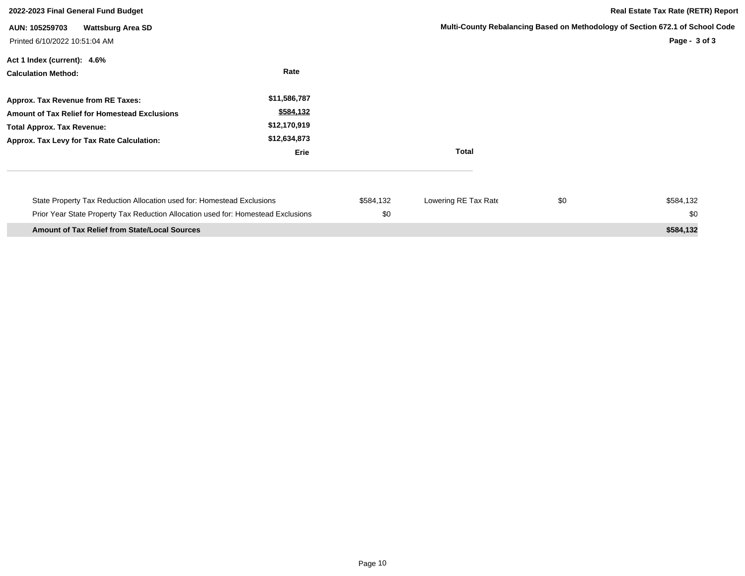| 2022-2023 Final General Fund Budget                                                                                                                                           |                                                                   |                  |                      | <b>Real Estate Tax Rate (RETR) Report</b> |                                                                                                |  |
|-------------------------------------------------------------------------------------------------------------------------------------------------------------------------------|-------------------------------------------------------------------|------------------|----------------------|-------------------------------------------|------------------------------------------------------------------------------------------------|--|
| <b>Wattsburg Area SD</b><br>AUN: 105259703<br>Printed 6/10/2022 10:51:04 AM                                                                                                   |                                                                   |                  |                      |                                           | Multi-County Rebalancing Based on Methodology of Section 672.1 of School Code<br>Page - 3 of 3 |  |
| Act 1 Index (current): 4.6%<br><b>Calculation Method:</b>                                                                                                                     | Rate                                                              |                  |                      |                                           |                                                                                                |  |
| Approx. Tax Revenue from RE Taxes:<br><b>Amount of Tax Relief for Homestead Exclusions</b><br><b>Total Approx. Tax Revenue:</b><br>Approx. Tax Levy for Tax Rate Calculation: | \$11,586,787<br>\$584,132<br>\$12,170,919<br>\$12,634,873<br>Erie |                  | <b>Total</b>         |                                           |                                                                                                |  |
| State Property Tax Reduction Allocation used for: Homestead Exclusions<br>Prior Year State Property Tax Reduction Allocation used for: Homestead Exclusions                   |                                                                   | \$584,132<br>\$0 | Lowering RE Tax Rate | \$0                                       | \$584,132<br>\$0                                                                               |  |
| <b>Amount of Tax Relief from State/Local Sources</b>                                                                                                                          |                                                                   |                  |                      |                                           | \$584,132                                                                                      |  |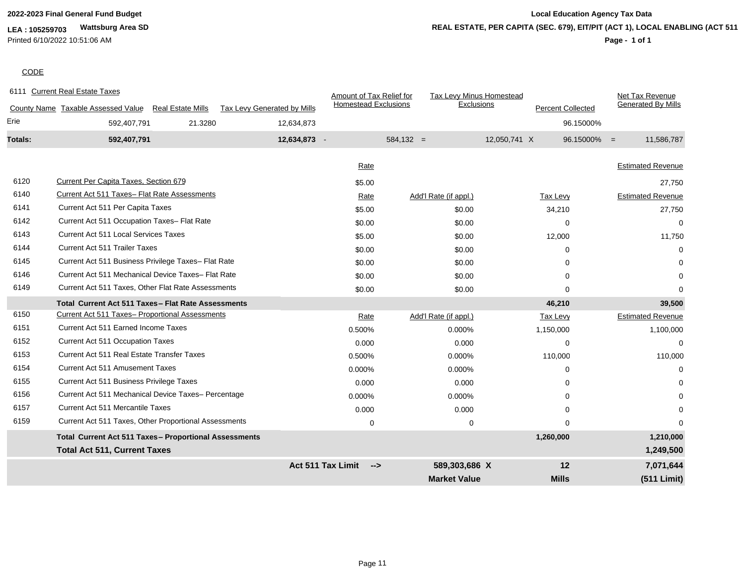# **LEA : 105259703 Wattsburg Area SD**

Printed 6/10/2022 10:51:06 AM

# **2022-2023 Final General Fund Budget Local Education Agency Tax Data REAL ESTATE, PER CAPITA (SEC. 679), EIT/PIT (ACT 1), LOCAL ENABLING (ACT 511)**

# **Page - 1 of 1**

# **CODE**

|         | 6111 Current Real Estate Taxes                               |                          |                             | Amount of Tax Relief for                  |                       | Tax Levy Minus Homestead               | Net Tax Revenue              |
|---------|--------------------------------------------------------------|--------------------------|-----------------------------|-------------------------------------------|-----------------------|----------------------------------------|------------------------------|
|         | County Name Taxable Assessed Value                           | <b>Real Estate Mills</b> | Tax Levy Generated by Mills | <b>Homestead Exclusions</b>               |                       | Exclusions<br><b>Percent Collected</b> | <b>Generated By Mills</b>    |
| Erie    | 592,407,791                                                  | 21.3280                  | 12,634,873                  |                                           |                       |                                        | 96.15000%                    |
| Totals: | 592,407,791                                                  |                          | 12,634,873 -                |                                           | $584,132 =$           | 12,050,741 X                           | $96.15000\% =$<br>11,586,787 |
|         |                                                              |                          |                             | Rate                                      |                       |                                        | <b>Estimated Revenue</b>     |
| 6120    | Current Per Capita Taxes, Section 679                        |                          |                             |                                           |                       |                                        |                              |
| 6140    |                                                              |                          |                             | \$5.00                                    |                       |                                        | 27,750                       |
|         | Current Act 511 Taxes- Flat Rate Assessments                 |                          |                             | Rate                                      | Add'l Rate (if appl.) | Tax Levy                               | <b>Estimated Revenue</b>     |
| 6141    | Current Act 511 Per Capita Taxes                             |                          |                             | \$5.00                                    | \$0.00                | 34,210                                 | 27,750                       |
| 6142    | Current Act 511 Occupation Taxes- Flat Rate                  |                          |                             | \$0.00                                    | \$0.00                | $\Omega$                               | $\Omega$                     |
| 6143    | <b>Current Act 511 Local Services Taxes</b>                  |                          |                             | \$5.00                                    | \$0.00                | 12,000                                 | 11,750                       |
| 6144    | <b>Current Act 511 Trailer Taxes</b>                         |                          |                             | \$0.00                                    | \$0.00                | $\Omega$                               | $\Omega$                     |
| 6145    | Current Act 511 Business Privilege Taxes- Flat Rate          |                          |                             | \$0.00                                    | \$0.00                | $\Omega$                               |                              |
| 6146    | Current Act 511 Mechanical Device Taxes- Flat Rate           |                          |                             | \$0.00                                    | \$0.00                | $\Omega$                               | $\Omega$                     |
| 6149    | Current Act 511 Taxes, Other Flat Rate Assessments           |                          |                             | \$0.00                                    | \$0.00                | $\Omega$                               | $\Omega$                     |
|         | Total Current Act 511 Taxes - Flat Rate Assessments          |                          |                             |                                           |                       | 46,210                                 | 39,500                       |
| 6150    | Current Act 511 Taxes- Proportional Assessments              |                          |                             | Rate                                      | Add'l Rate (if appl.) | Tax Levy                               | <b>Estimated Revenue</b>     |
| 6151    | Current Act 511 Earned Income Taxes                          |                          |                             | 0.500%                                    | 0.000%                | 1,150,000                              | 1,100,000                    |
| 6152    | <b>Current Act 511 Occupation Taxes</b>                      |                          |                             | 0.000                                     | 0.000                 | $\Omega$                               | $\Omega$                     |
| 6153    | <b>Current Act 511 Real Estate Transfer Taxes</b>            |                          |                             | 0.500%                                    | 0.000%                | 110,000                                | 110,000                      |
| 6154    | <b>Current Act 511 Amusement Taxes</b>                       |                          |                             | 0.000%                                    | 0.000%                | $\Omega$                               |                              |
| 6155    | Current Act 511 Business Privilege Taxes                     |                          |                             | 0.000                                     | 0.000                 | $\Omega$                               |                              |
| 6156    | Current Act 511 Mechanical Device Taxes- Percentage          |                          |                             | 0.000%                                    | 0.000%                | $\Omega$                               |                              |
| 6157    | <b>Current Act 511 Mercantile Taxes</b>                      |                          |                             | 0.000                                     | 0.000                 | $\Omega$                               |                              |
| 6159    | Current Act 511 Taxes, Other Proportional Assessments        |                          |                             | $\mathbf 0$                               | $\mathbf 0$           | $\Omega$                               | $\Omega$                     |
|         | <b>Total Current Act 511 Taxes- Proportional Assessments</b> |                          |                             |                                           |                       | 1,260,000                              | 1,210,000                    |
|         | <b>Total Act 511, Current Taxes</b>                          |                          |                             |                                           |                       |                                        | 1,249,500                    |
|         |                                                              |                          |                             | <b>Act 511 Tax Limit</b><br>$\rightarrow$ | 589,303,686 X         | 12                                     | 7,071,644                    |
|         |                                                              |                          |                             |                                           | <b>Market Value</b>   | <b>Mills</b>                           | (511 Limit)                  |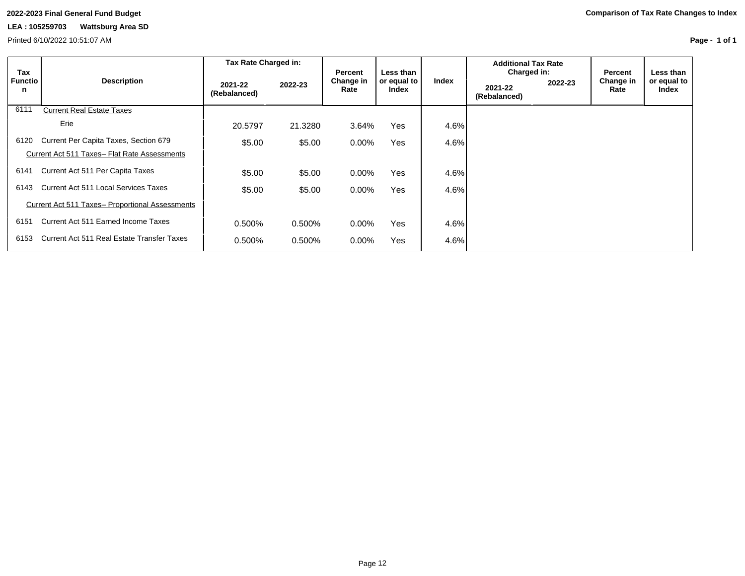Printed 6/10/2022 10:51:07 AM

**Page - 1 of 1**

|                            |                                                 | Tax Rate Charged in:    |         |                                     |                                   |         | <b>Additional Tax Rate</b>             |         |                              |                                   |
|----------------------------|-------------------------------------------------|-------------------------|---------|-------------------------------------|-----------------------------------|---------|----------------------------------------|---------|------------------------------|-----------------------------------|
| Tax<br><b>Functio</b><br>n | <b>Description</b>                              | 2021-22<br>(Rebalanced) | 2022-23 | <b>Percent</b><br>Change in<br>Rate | Less than<br>or equal to<br>Index | Index   | Charged in:<br>2021-22<br>(Rebalanced) | 2022-23 | Percent<br>Change in<br>Rate | Less than<br>or equal to<br>Index |
| 6111                       | <b>Current Real Estate Taxes</b>                |                         |         |                                     |                                   |         |                                        |         |                              |                                   |
|                            | Erie                                            | 20.5797                 | 21.3280 | 3.64%                               | Yes                               | 4.6%    |                                        |         |                              |                                   |
| 6120                       | Current Per Capita Taxes, Section 679           | \$5.00                  | \$5.00  | $0.00\%$                            | Yes                               | 4.6%    |                                        |         |                              |                                   |
|                            | Current Act 511 Taxes- Flat Rate Assessments    |                         |         |                                     |                                   |         |                                        |         |                              |                                   |
| 6141                       | Current Act 511 Per Capita Taxes                | \$5.00                  | \$5.00  | $0.00\%$                            | Yes                               | 4.6%    |                                        |         |                              |                                   |
| 6143                       | Current Act 511 Local Services Taxes            | \$5.00                  | \$5.00  | $0.00\%$                            | Yes                               | $4.6\%$ |                                        |         |                              |                                   |
|                            | Current Act 511 Taxes- Proportional Assessments |                         |         |                                     |                                   |         |                                        |         |                              |                                   |
| 6151                       | Current Act 511 Earned Income Taxes             | 0.500%                  | 0.500%  | $0.00\%$                            | Yes                               | 4.6%    |                                        |         |                              |                                   |
| 6153                       | Current Act 511 Real Estate Transfer Taxes      | 0.500%                  | 0.500%  | $0.00\%$                            | Yes                               | 4.6%    |                                        |         |                              |                                   |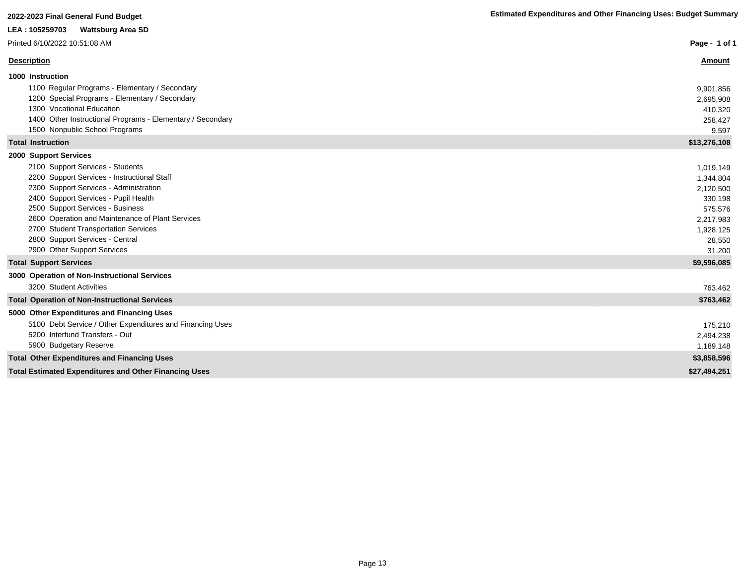| LEA: 105259703<br><b>Wattsburg Area SD</b>                                                                                                                                                                                                                                                                                                                                                   |                                                                                                         |
|----------------------------------------------------------------------------------------------------------------------------------------------------------------------------------------------------------------------------------------------------------------------------------------------------------------------------------------------------------------------------------------------|---------------------------------------------------------------------------------------------------------|
| Printed 6/10/2022 10:51:08 AM                                                                                                                                                                                                                                                                                                                                                                | Page - 1 of 1                                                                                           |
| <b>Description</b>                                                                                                                                                                                                                                                                                                                                                                           | Amount                                                                                                  |
| 1000 Instruction<br>1100 Regular Programs - Elementary / Secondary<br>1200 Special Programs - Elementary / Secondary<br>1300 Vocational Education<br>1400 Other Instructional Programs - Elementary / Secondary<br>1500 Nonpublic School Programs                                                                                                                                            | 9,901,856<br>2,695,908<br>410,320<br>258,427<br>9,597                                                   |
| <b>Total Instruction</b>                                                                                                                                                                                                                                                                                                                                                                     | \$13,276,108                                                                                            |
| 2000 Support Services<br>2100 Support Services - Students<br>2200 Support Services - Instructional Staff<br>2300 Support Services - Administration<br>2400 Support Services - Pupil Health<br>2500 Support Services - Business<br>2600 Operation and Maintenance of Plant Services<br>2700 Student Transportation Services<br>2800 Support Services - Central<br>2900 Other Support Services | 1,019,149<br>1,344,804<br>2,120,500<br>330,198<br>575,576<br>2,217,983<br>1,928,125<br>28,550<br>31,200 |
| <b>Total Support Services</b>                                                                                                                                                                                                                                                                                                                                                                | \$9,596,085                                                                                             |
| 3000 Operation of Non-Instructional Services<br>3200 Student Activities<br><b>Total Operation of Non-Instructional Services</b>                                                                                                                                                                                                                                                              | 763,462<br>\$763,462                                                                                    |
| 5000 Other Expenditures and Financing Uses                                                                                                                                                                                                                                                                                                                                                   |                                                                                                         |
| 5100 Debt Service / Other Expenditures and Financing Uses<br>5200 Interfund Transfers - Out<br>5900 Budgetary Reserve                                                                                                                                                                                                                                                                        | 175,210<br>2,494,238<br>1,189,148                                                                       |
| <b>Total Other Expenditures and Financing Uses</b>                                                                                                                                                                                                                                                                                                                                           | \$3,858,596                                                                                             |
| <b>Total Estimated Expenditures and Other Financing Uses</b>                                                                                                                                                                                                                                                                                                                                 | \$27,494,251                                                                                            |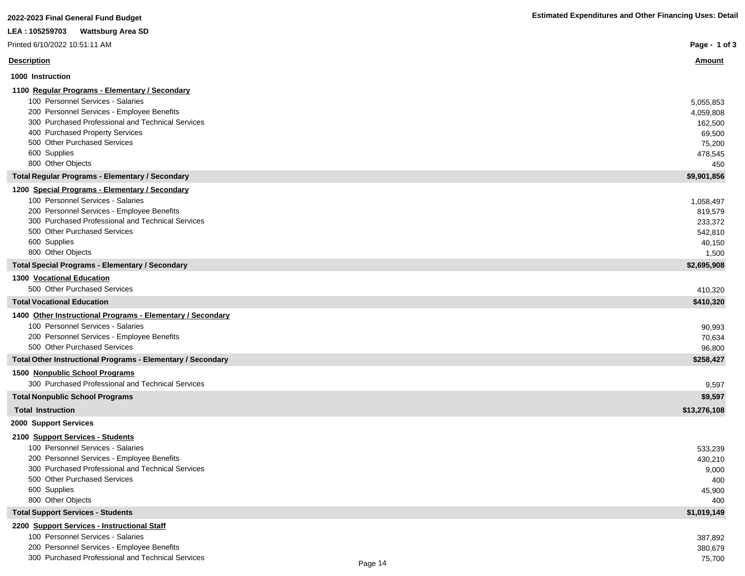| LEA : 105259703<br><b>Wattsburg Area SD</b>                                       |                 |
|-----------------------------------------------------------------------------------|-----------------|
| Printed 6/10/2022 10:51:11 AM                                                     | Page - $1$      |
| <b>Description</b>                                                                | <b>Amount</b>   |
| 1000 Instruction                                                                  |                 |
| 1100 Regular Programs - Elementary / Secondary                                    |                 |
| 100 Personnel Services - Salaries                                                 | 5,055,853       |
| 200 Personnel Services - Employee Benefits                                        | 4,059,808       |
| 300 Purchased Professional and Technical Services                                 | 162,500         |
| 400 Purchased Property Services                                                   | 69,500          |
| 500 Other Purchased Services                                                      | 75,200          |
| 600 Supplies                                                                      | 478,545         |
| 800 Other Objects                                                                 | 450             |
| <b>Total Regular Programs - Elementary / Secondary</b>                            | \$9,901,856     |
| 1200 Special Programs - Elementary / Secondary                                    |                 |
| 100 Personnel Services - Salaries                                                 | 1,058,497       |
| 200 Personnel Services - Employee Benefits                                        | 819,579         |
| 300 Purchased Professional and Technical Services<br>500 Other Purchased Services | 233,372         |
| 600 Supplies                                                                      | 542,810         |
| 800 Other Objects                                                                 | 40,150<br>1,500 |
| <b>Total Special Programs - Elementary / Secondary</b>                            | \$2,695,908     |
| 1300 Vocational Education                                                         |                 |
| 500 Other Purchased Services                                                      | 410,320         |
| <b>Total Vocational Education</b>                                                 | \$410,320       |
| 1400 Other Instructional Programs - Elementary / Secondary                        |                 |
| 100 Personnel Services - Salaries                                                 | 90,993          |
| 200 Personnel Services - Employee Benefits                                        | 70,634          |
| 500 Other Purchased Services                                                      | 96,800          |
| Total Other Instructional Programs - Elementary / Secondary                       | \$258,427       |
| 1500 Nonpublic School Programs                                                    |                 |
| 300 Purchased Professional and Technical Services                                 | 9,597           |
| <b>Total Nonpublic School Programs</b>                                            | \$9,597         |
| <b>Total Instruction</b>                                                          | \$13,276,108    |
| 2000 Support Services                                                             |                 |
| 2100 Support Services - Students                                                  |                 |
| 100 Personnel Services - Salaries                                                 | 533,239         |
| 200 Personnel Services - Employee Benefits                                        | 430,210         |
| 300 Purchased Professional and Technical Services<br>500 Other Purchased Services | 9,000           |
| 600 Supplies                                                                      | 400             |
| 800 Other Objects                                                                 | 45,900<br>400   |
| <b>Total Support Services - Students</b>                                          | \$1,019,149     |
| 2200 Support Services - Instructional Staff                                       |                 |
| 100 Personnel Services - Salaries                                                 | 387,892         |
| 200 Personnel Services - Employee Benefits                                        | 380,679         |

300 Purchased Professional and Technical Services 75,700

I

I

I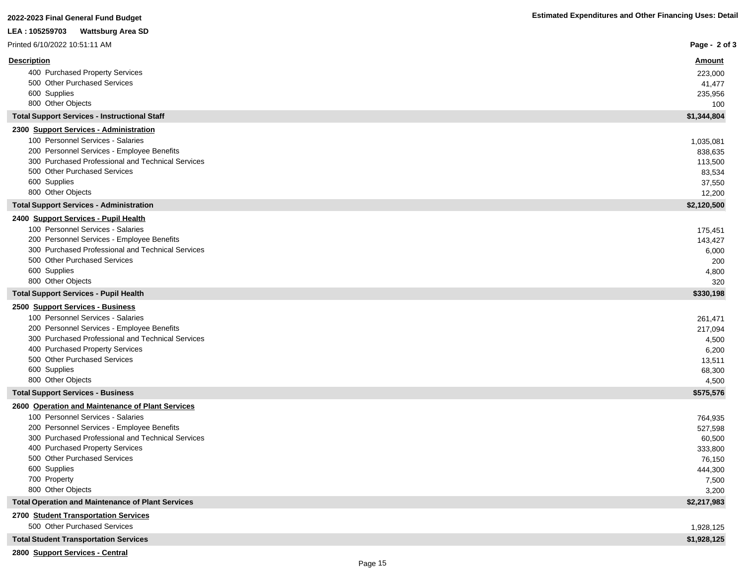# **2022-2023 Final General Fund Budget Estimated Expenditures and Other Financing Uses: Detail LEA : 105259703 Wattsburg Area SD**

| Printed 6/10/2022 10:51:11 AM                                   | Page - 2 of 3    |
|-----------------------------------------------------------------|------------------|
| <b>Description</b>                                              | <u>Amount</u>    |
| 400 Purchased Property Services                                 | 223,000          |
| 500 Other Purchased Services                                    | 41,477           |
| 600 Supplies                                                    | 235,956          |
| 800 Other Objects                                               | 100              |
| <b>Total Support Services - Instructional Staff</b>             | \$1,344,804      |
| 2300 Support Services - Administration                          |                  |
| 100 Personnel Services - Salaries                               | 1,035,081        |
| 200 Personnel Services - Employee Benefits                      | 838,635          |
| 300 Purchased Professional and Technical Services               | 113,500          |
| 500 Other Purchased Services                                    | 83,534           |
| 600 Supplies                                                    | 37,550           |
| 800 Other Objects                                               | 12,200           |
| <b>Total Support Services - Administration</b>                  | \$2,120,500      |
| 2400 Support Services - Pupil Health                            |                  |
| 100 Personnel Services - Salaries                               | 175,451          |
| 200 Personnel Services - Employee Benefits                      | 143,427          |
| 300 Purchased Professional and Technical Services               | 6,000            |
| 500 Other Purchased Services                                    | 200              |
| 600 Supplies                                                    | 4,800            |
| 800 Other Objects                                               | 320              |
| <b>Total Support Services - Pupil Health</b>                    | \$330,198        |
| 2500 Support Services - Business                                |                  |
| 100 Personnel Services - Salaries                               | 261,471          |
| 200 Personnel Services - Employee Benefits                      | 217,094          |
| 300 Purchased Professional and Technical Services               | 4,500            |
| 400 Purchased Property Services                                 | 6,200            |
| 500 Other Purchased Services                                    | 13,511           |
| 600 Supplies                                                    | 68,300           |
| 800 Other Objects                                               | 4,500            |
| <b>Total Support Services - Business</b>                        | \$575,576        |
| 2600 Operation and Maintenance of Plant Services                |                  |
| 100 Personnel Services - Salaries                               | 764,935          |
| 200 Personnel Services - Employee Benefits                      | 527,598          |
| 300 Purchased Professional and Technical Services               | 60,500           |
| 400 Purchased Property Services<br>500 Other Purchased Services | 333,800          |
| 600 Supplies                                                    | 76,150           |
| 700 Property                                                    | 444,300<br>7,500 |
| 800 Other Objects                                               | 3,200            |
| <b>Total Operation and Maintenance of Plant Services</b>        | \$2,217,983      |
| 2700 Student Transportation Services                            |                  |
| 500 Other Purchased Services                                    | 1,928,125        |
|                                                                 |                  |
| <b>Total Student Transportation Services</b>                    | \$1,928,125      |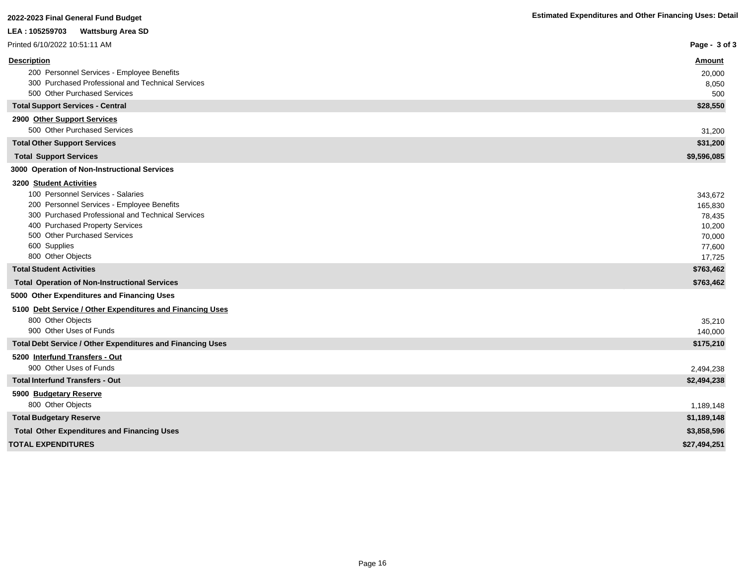| zvzz-zvzy i iliai Ocherar i and Dauget                                                          |                   |
|-------------------------------------------------------------------------------------------------|-------------------|
| LEA : 105259703<br><b>Wattsburg Area SD</b>                                                     |                   |
| Printed 6/10/2022 10:51:11 AM                                                                   | Page - 3 of 3     |
| <b>Description</b>                                                                              | <u>Amount</u>     |
| 200 Personnel Services - Employee Benefits                                                      | 20,000            |
| 300 Purchased Professional and Technical Services                                               | 8,050             |
| 500 Other Purchased Services                                                                    | 500               |
| <b>Total Support Services - Central</b>                                                         | \$28,550          |
| 2900 Other Support Services                                                                     |                   |
| 500 Other Purchased Services                                                                    | 31,200            |
| <b>Total Other Support Services</b>                                                             | \$31,200          |
| <b>Total Support Services</b>                                                                   | \$9,596,085       |
| 3000 Operation of Non-Instructional Services                                                    |                   |
| <b>3200 Student Activities</b>                                                                  |                   |
| 100 Personnel Services - Salaries                                                               | 343,672           |
| 200 Personnel Services - Employee Benefits<br>300 Purchased Professional and Technical Services | 165,830<br>78,435 |
| 400 Purchased Property Services                                                                 | 10,200            |
| 500 Other Purchased Services                                                                    | 70,000            |
| 600 Supplies                                                                                    | 77,600            |
| 800 Other Objects                                                                               | 17,725            |
| <b>Total Student Activities</b>                                                                 | \$763,462         |
| <b>Total Operation of Non-Instructional Services</b>                                            | \$763,462         |
| 5000 Other Expenditures and Financing Uses                                                      |                   |
| 5100 Debt Service / Other Expenditures and Financing Uses                                       |                   |
| 800 Other Objects                                                                               | 35,210            |
| 900 Other Uses of Funds                                                                         | 140,000           |
| Total Debt Service / Other Expenditures and Financing Uses                                      | \$175,210         |
| 5200 Interfund Transfers - Out                                                                  |                   |
| 900 Other Uses of Funds                                                                         | 2,494,238         |
| <b>Total Interfund Transfers - Out</b>                                                          | \$2,494,238       |
| 5900 Budgetary Reserve                                                                          |                   |
| 800 Other Objects                                                                               | 1,189,148         |
| <b>Total Budgetary Reserve</b>                                                                  | \$1,189,148       |
| <b>Total Other Expenditures and Financing Uses</b>                                              | \$3,858,596       |
| <b>TOTAL EXPENDITURES</b>                                                                       | \$27,494,251      |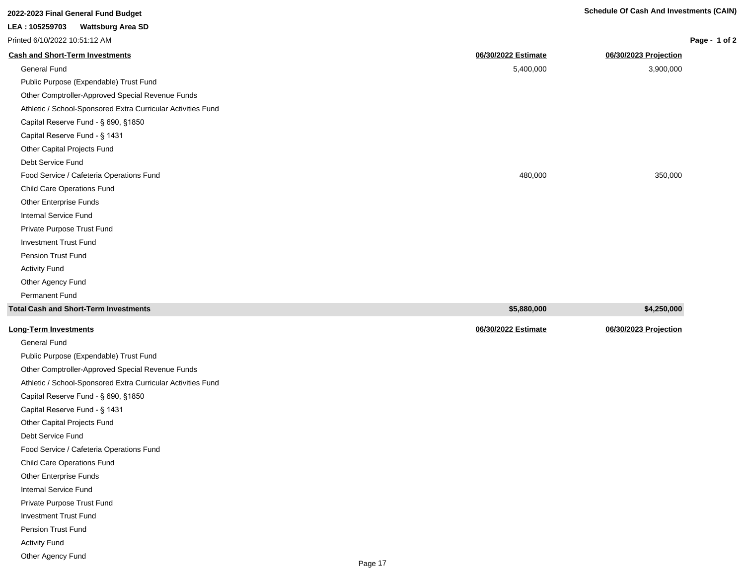| 2022-2023 Final General Fund Budget                          |                     | <b>Schedule Of Cash And Investments (CAIN)</b> |
|--------------------------------------------------------------|---------------------|------------------------------------------------|
| LEA: 105259703<br><b>Wattsburg Area SD</b>                   |                     |                                                |
| Printed 6/10/2022 10:51:12 AM                                |                     | Page - 1 of 2                                  |
| <b>Cash and Short-Term Investments</b>                       | 06/30/2022 Estimate | 06/30/2023 Projection                          |
| <b>General Fund</b>                                          | 5,400,000           | 3,900,000                                      |
| Public Purpose (Expendable) Trust Fund                       |                     |                                                |
| Other Comptroller-Approved Special Revenue Funds             |                     |                                                |
| Athletic / School-Sponsored Extra Curricular Activities Fund |                     |                                                |
| Capital Reserve Fund - § 690, §1850                          |                     |                                                |
| Capital Reserve Fund - § 1431                                |                     |                                                |
| Other Capital Projects Fund                                  |                     |                                                |
| Debt Service Fund                                            |                     |                                                |
| Food Service / Cafeteria Operations Fund                     | 480,000             | 350,000                                        |
| <b>Child Care Operations Fund</b>                            |                     |                                                |
| Other Enterprise Funds                                       |                     |                                                |
| Internal Service Fund                                        |                     |                                                |
| Private Purpose Trust Fund                                   |                     |                                                |
| <b>Investment Trust Fund</b>                                 |                     |                                                |
| Pension Trust Fund                                           |                     |                                                |
| <b>Activity Fund</b>                                         |                     |                                                |
| Other Agency Fund                                            |                     |                                                |

| Total Cash and Short-Term Investments  | \$5,880,000         | \$4,250,000           |
|----------------------------------------|---------------------|-----------------------|
| <u> Long-Term Investments</u>          | 06/30/2022 Estimate | 06/30/2023 Projection |
| General Fund                           |                     |                       |
| Public Purpose (Expendable) Trust Fund |                     |                       |

Other Comptroller-Approved Special Revenue Funds Athletic / School-Sponsored Extra Curricular Activities Fund Capital Reserve Fund - § 690, §1850 Capital Reserve Fund - § 1431 Other Capital Projects Fund Debt Service Fund Food Service / Cafeteria Operations Fund Child Care Operations Fund Other Enterprise Funds Internal Service Fund Private Purpose Trust Fund

Investment Trust Fund

Pension Trust Fund

Permanent Fund

Activity Fund

Other Agency Fund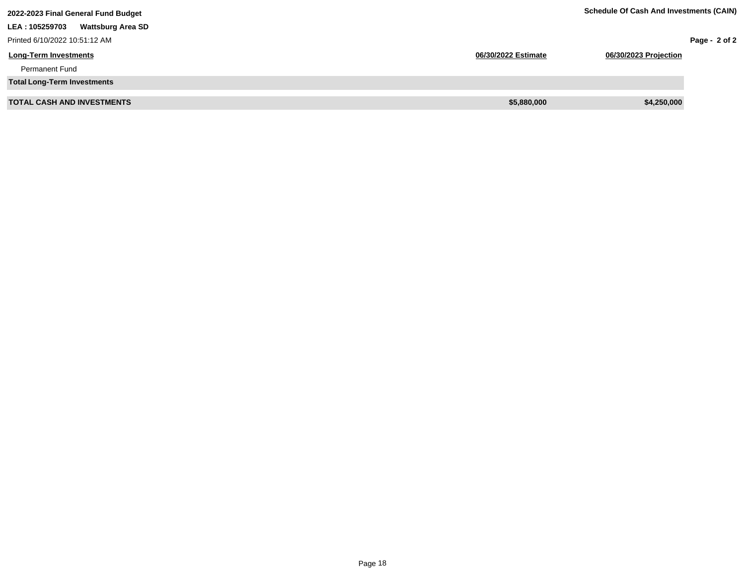| 2022-2023 Final General Fund Budget        |                     | <b>Schedule Of Cash And Investments (CAIN)</b> |                 |
|--------------------------------------------|---------------------|------------------------------------------------|-----------------|
| LEA: 105259703<br><b>Wattsburg Area SD</b> |                     |                                                |                 |
| Printed 6/10/2022 10:51:12 AM              |                     |                                                | Page - $2$ of 2 |
| <b>Long-Term Investments</b>               | 06/30/2022 Estimate | 06/30/2023 Projection                          |                 |
| <b>Permanent Fund</b>                      |                     |                                                |                 |
| <b>Total Long-Term Investments</b>         |                     |                                                |                 |
| <b>TOTAL CASH AND INVESTMENTS</b>          | \$5,880,000         | \$4,250,000                                    |                 |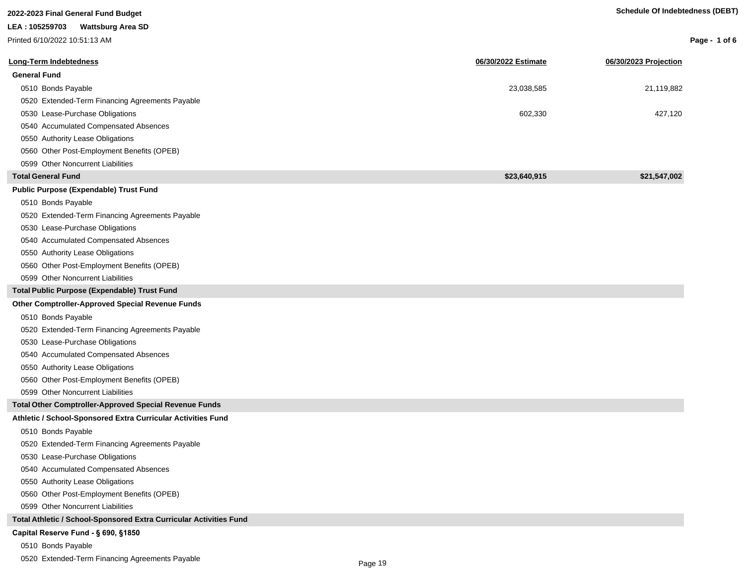| 2022-2023 Final General Fund Budget                                |                     | <b>Schedule Of Indebtedness (DEBT)</b> |                 |
|--------------------------------------------------------------------|---------------------|----------------------------------------|-----------------|
| LEA: 105259703<br><b>Wattsburg Area SD</b>                         |                     |                                        |                 |
| Printed 6/10/2022 10:51:13 AM                                      |                     |                                        | Page - 1 of $6$ |
| Long-Term Indebtedness                                             | 06/30/2022 Estimate | 06/30/2023 Projection                  |                 |
| <b>General Fund</b>                                                |                     |                                        |                 |
| 0510 Bonds Payable                                                 | 23,038,585          | 21,119,882                             |                 |
| 0520 Extended-Term Financing Agreements Payable                    |                     |                                        |                 |
| 0530 Lease-Purchase Obligations                                    | 602,330             | 427,120                                |                 |
| 0540 Accumulated Compensated Absences                              |                     |                                        |                 |
| 0550 Authority Lease Obligations                                   |                     |                                        |                 |
| 0560 Other Post-Employment Benefits (OPEB)                         |                     |                                        |                 |
| 0599 Other Noncurrent Liabilities                                  |                     |                                        |                 |
| <b>Total General Fund</b>                                          | \$23,640,915        | \$21,547,002                           |                 |
| <b>Public Purpose (Expendable) Trust Fund</b>                      |                     |                                        |                 |
| 0510 Bonds Payable                                                 |                     |                                        |                 |
| 0520 Extended-Term Financing Agreements Payable                    |                     |                                        |                 |
| 0530 Lease-Purchase Obligations                                    |                     |                                        |                 |
| 0540 Accumulated Compensated Absences                              |                     |                                        |                 |
| 0550 Authority Lease Obligations                                   |                     |                                        |                 |
| 0560 Other Post-Employment Benefits (OPEB)                         |                     |                                        |                 |
| 0599 Other Noncurrent Liabilities                                  |                     |                                        |                 |
| Total Public Purpose (Expendable) Trust Fund                       |                     |                                        |                 |
| <b>Other Comptroller-Approved Special Revenue Funds</b>            |                     |                                        |                 |
| 0510 Bonds Payable                                                 |                     |                                        |                 |
| 0520 Extended-Term Financing Agreements Payable                    |                     |                                        |                 |
| 0530 Lease-Purchase Obligations                                    |                     |                                        |                 |
| 0540 Accumulated Compensated Absences                              |                     |                                        |                 |
| 0550 Authority Lease Obligations                                   |                     |                                        |                 |
| 0560 Other Post-Employment Benefits (OPEB)                         |                     |                                        |                 |
| 0599 Other Noncurrent Liabilities                                  |                     |                                        |                 |
| Total Other Comptroller-Approved Special Revenue Funds             |                     |                                        |                 |
| Athletic / School-Sponsored Extra Curricular Activities Fund       |                     |                                        |                 |
| 0510 Bonds Payable                                                 |                     |                                        |                 |
| 0520 Extended-Term Financing Agreements Payable                    |                     |                                        |                 |
| 0530 Lease-Purchase Obligations                                    |                     |                                        |                 |
| 0540 Accumulated Compensated Absences                              |                     |                                        |                 |
| 0550 Authority Lease Obligations                                   |                     |                                        |                 |
| 0560 Other Post-Employment Benefits (OPEB)                         |                     |                                        |                 |
| 0599 Other Noncurrent Liabilities                                  |                     |                                        |                 |
| Total Athletic / School-Sponsored Extra Curricular Activities Fund |                     |                                        |                 |
| Capital Reserve Fund - § 690, §1850                                |                     |                                        |                 |

0510 Bonds Payable

0520 Extended-Term Financing Agreements Payable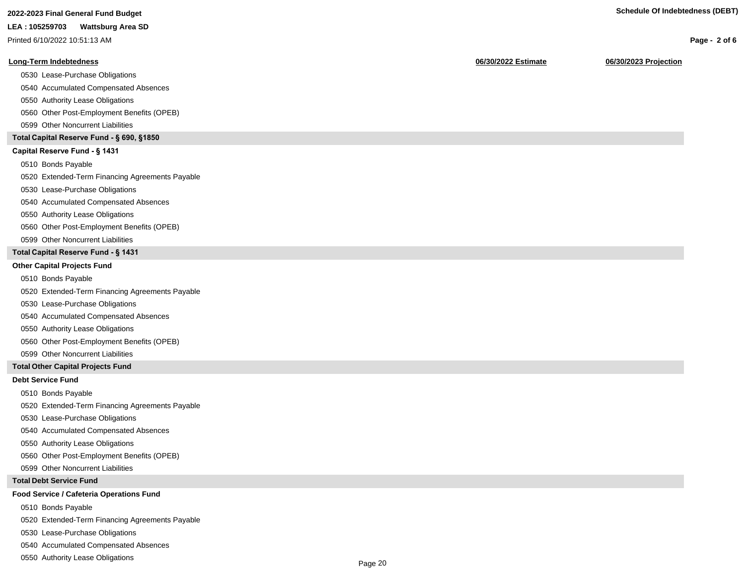# **2022-2023 Final General Fund Budget Schedule Of Indebtedness (DEBT)**

#### **LEA : 105259703 Wattsburg Area SD**

Printed 6/10/2022 10:51:13 AM

#### **Long-Term Indebtedness 06/30/2022 Estimate 06/30/2023 Projection**

0530 Lease-Purchase Obligations

0540 Accumulated Compensated Absences

0550 Authority Lease Obligations

0560 Other Post-Employment Benefits (OPEB)

0599 Other Noncurrent Liabilities

#### **Total Capital Reserve Fund - § 690, §1850**

#### Capital Reserve Fund - § 1431

0510 Bonds Payable

0520 Extended-Term Financing Agreements Payable

0530 Lease-Purchase Obligations

0540 Accumulated Compensated Absences

#### 0550 Authority Lease Obligations

0560 Other Post-Employment Benefits (OPEB)

0599 Other Noncurrent Liabilities

### **Total Capital Reserve Fund - § 1431**

#### **Other Capital Projects Fund**

0510 Bonds Payable

0520 Extended-Term Financing Agreements Payable

0530 Lease-Purchase Obligations

0540 Accumulated Compensated Absences

0550 Authority Lease Obligations

0560 Other Post-Employment Benefits (OPEB)

0599 Other Noncurrent Liabilities

#### **Total Other Capital Projects Fund**

#### **Debt Service Fund**

0510 Bonds Payable

0520 Extended-Term Financing Agreements Payable

0530 Lease-Purchase Obligations

0540 Accumulated Compensated Absences

0550 Authority Lease Obligations

0560 Other Post-Employment Benefits (OPEB)

0599 Other Noncurrent Liabilities

#### **Total Debt Service Fund**

#### **Food Service / Cafeteria Operations Fund**

0510 Bonds Payable

0520 Extended-Term Financing Agreements Payable

0530 Lease-Purchase Obligations

0540 Accumulated Compensated Absences

0550 Authority Lease Obligations

**Page - 2 of 6**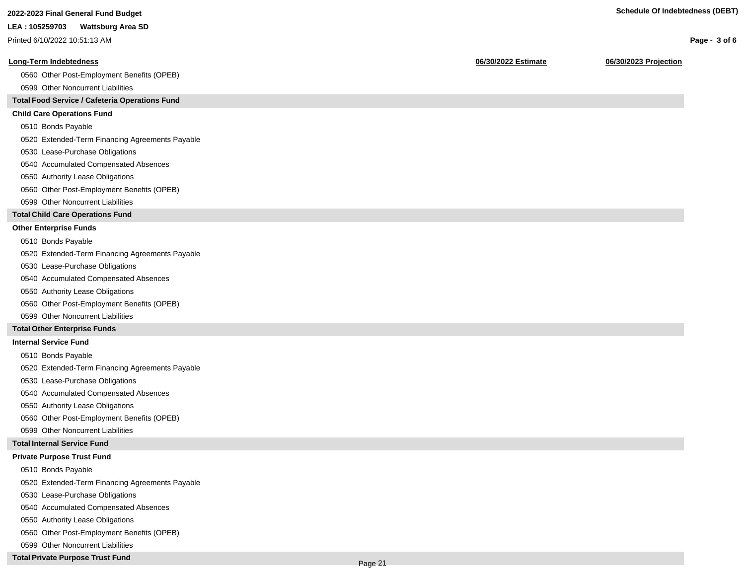**Page - 3 of 6**

#### **LEA : 105259703 Wattsburg Area SD**

Printed 6/10/2022 10:51:13 AM

#### **Long-Term Indebtedness 06/30/2022 Estimate 06/30/2023 Projection**

0560 Other Post-Employment Benefits (OPEB)

0599 Other Noncurrent Liabilities

### **Total Food Service / Cafeteria Operations Fund**

#### **Child Care Operations Fund**

0510 Bonds Payable

0520 Extended-Term Financing Agreements Payable

- 0530 Lease-Purchase Obligations
- 0540 Accumulated Compensated Absences
- 0550 Authority Lease Obligations
- 0560 Other Post-Employment Benefits (OPEB)
- 0599 Other Noncurrent Liabilities

#### **Total Child Care Operations Fund**

#### **Other Enterprise Funds**

- 0510 Bonds Payable
- 0520 Extended-Term Financing Agreements Payable
- 0530 Lease-Purchase Obligations
- 0540 Accumulated Compensated Absences
- 0550 Authority Lease Obligations
- 0560 Other Post-Employment Benefits (OPEB)
- 0599 Other Noncurrent Liabilities

#### **Total Other Enterprise Funds**

#### **Internal Service Fund**

- 0510 Bonds Payable
- 0520 Extended-Term Financing Agreements Payable
- 0530 Lease-Purchase Obligations
- 0540 Accumulated Compensated Absences
- 0550 Authority Lease Obligations
- 0560 Other Post-Employment Benefits (OPEB)
- 0599 Other Noncurrent Liabilities

#### **Total Internal Service Fund**

### **Private Purpose Trust Fund**

- 0510 Bonds Payable
- 0520 Extended-Term Financing Agreements Payable
- 0530 Lease-Purchase Obligations
- 0540 Accumulated Compensated Absences
- 0550 Authority Lease Obligations
- 0560 Other Post-Employment Benefits (OPEB)
- 0599 Other Noncurrent Liabilities

## **Total Private Purpose Trust Fund**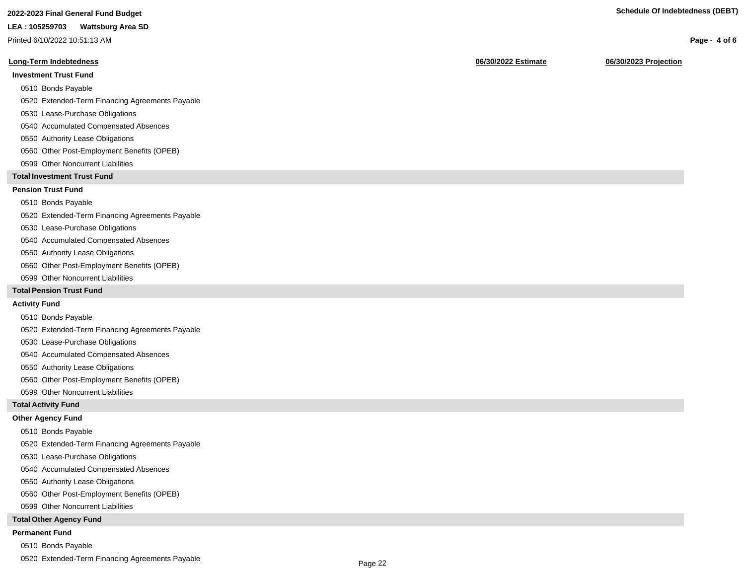# **2022-2023 Final General Fund Budget Schedule Of Indebtedness (DEBT)**

#### **LEA : 105259703 Wattsburg Area SD**

Printed 6/10/2022 10:51:13 AM

#### **Long-Term Indebtedness 06/30/2022 Estimate 06/30/2023 Projection**

### **Investment Trust Fund**

- 0510 Bonds Payable
- 0520 Extended-Term Financing Agreements Payable
- 0530 Lease-Purchase Obligations
- 0540 Accumulated Compensated Absences
- 0550 Authority Lease Obligations
- 0560 Other Post-Employment Benefits (OPEB)
- 0599 Other Noncurrent Liabilities

#### **Total Investment Trust Fund**

#### **Pension Trust Fund**

#### 0510 Bonds Payable

0520 Extended-Term Financing Agreements Payable

- 0530 Lease-Purchase Obligations
- 0540 Accumulated Compensated Absences
- 0550 Authority Lease Obligations
- 0560 Other Post-Employment Benefits (OPEB)
- 0599 Other Noncurrent Liabilities

#### **Total Pension Trust Fund**

#### **Activity Fund**

- 0510 Bonds Payable
- 0520 Extended-Term Financing Agreements Payable
- 0530 Lease-Purchase Obligations
- 0540 Accumulated Compensated Absences
- 0550 Authority Lease Obligations
- 0560 Other Post-Employment Benefits (OPEB)
- 0599 Other Noncurrent Liabilities

#### **Total Activity Fund**

#### **Other Agency Fund**

- 0510 Bonds Payable
- 0520 Extended-Term Financing Agreements Payable
- 0530 Lease-Purchase Obligations
- 0540 Accumulated Compensated Absences
- 0550 Authority Lease Obligations
- 0560 Other Post-Employment Benefits (OPEB)
- 0599 Other Noncurrent Liabilities

#### **Total Other Agency Fund**

#### **Permanent Fund**

- 0510 Bonds Payable
- 0520 Extended-Term Financing Agreements Payable

**Page - 4 of 6**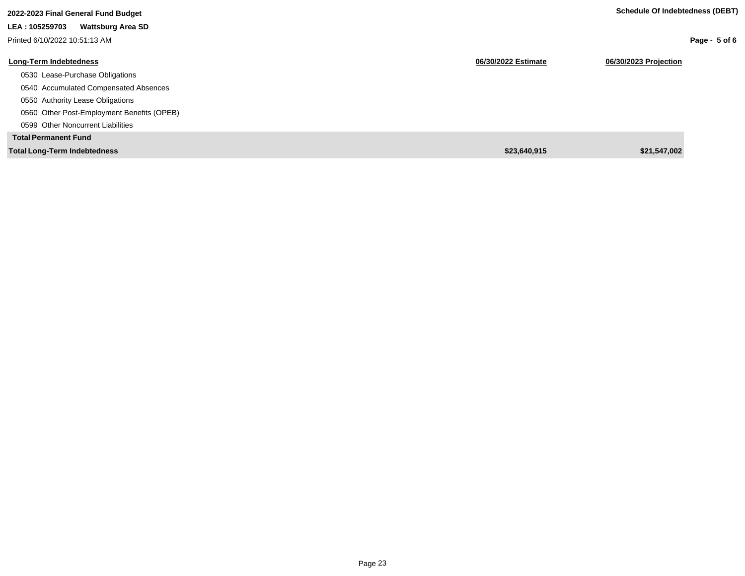| 2022-2023 Final General Fund Budget        |                     | Schedule Of Indebtedness (DEBT) |
|--------------------------------------------|---------------------|---------------------------------|
| LEA: 105259703<br><b>Wattsburg Area SD</b> |                     |                                 |
| Printed 6/10/2022 10:51:13 AM              |                     | Page - $5$ of 6                 |
| Long-Term Indebtedness                     | 06/30/2022 Estimate | 06/30/2023 Projection           |
| 0530 Lease-Purchase Obligations            |                     |                                 |
| 0540 Accumulated Compensated Absences      |                     |                                 |
| 0550 Authority Lease Obligations           |                     |                                 |
| 0560 Other Post-Employment Benefits (OPEB) |                     |                                 |
| 0599 Other Noncurrent Liabilities          |                     |                                 |
| <b>Total Permanent Fund</b>                |                     |                                 |
| <b>Total Long-Term Indebtedness</b>        | \$23,640,915        | \$21,547,002                    |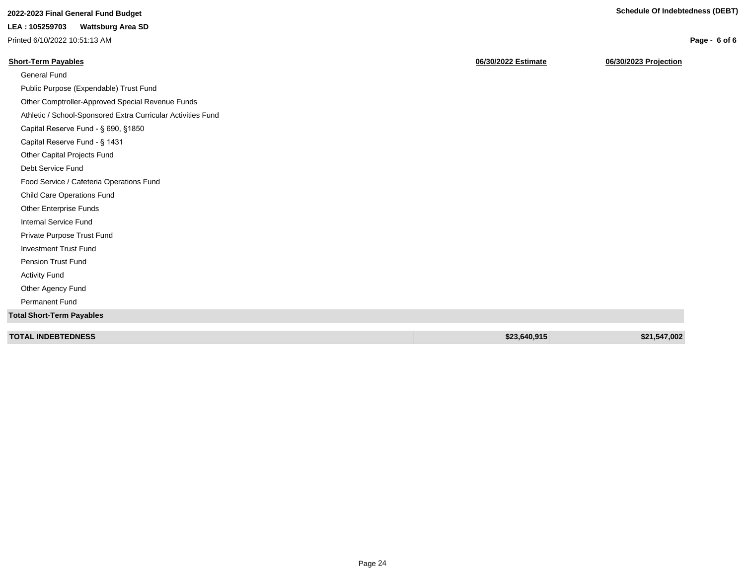**Page - 6 of 6**

# **2022-2023 Final General Fund Budget Schedule Of Indebtedness (DEBT)**

# **LEA : 105259703 Wattsburg Area SD**

Printed 6/10/2022 10:51:13 AM

# **Short-Term Payables 06/30/2022 Estimate 06/30/2023 Projection**

| \$23,640,915 | \$21,547,002 |
|--------------|--------------|
|              |              |